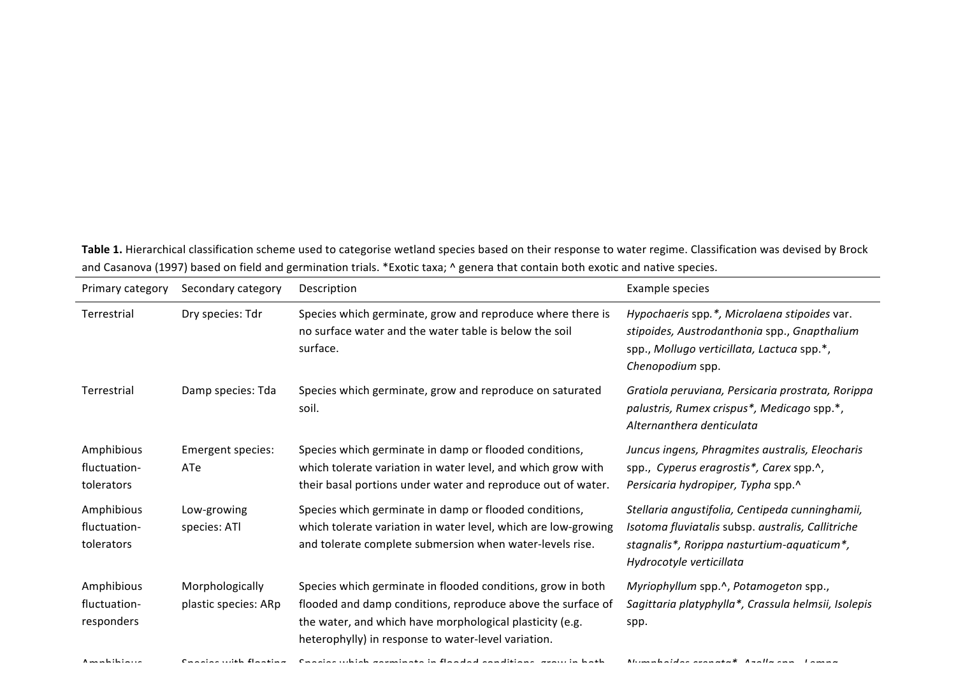Table 1. Hierarchical classification scheme used to categorise wetland species based on their response to water regime. Classification was devised by Brock and Casanova (1997) based on field and germination trials. \*Exotic taxa; ^ genera that contain both exotic and native species.

| Primary category                         | Secondary category                      | Description                                                                                                                                                                                                                                   | Example species                                                                                                                                                                |
|------------------------------------------|-----------------------------------------|-----------------------------------------------------------------------------------------------------------------------------------------------------------------------------------------------------------------------------------------------|--------------------------------------------------------------------------------------------------------------------------------------------------------------------------------|
| Terrestrial                              | Dry species: Tdr                        | Species which germinate, grow and reproduce where there is<br>no surface water and the water table is below the soil<br>surface.                                                                                                              | Hypochaeris spp.*, Microlaena stipoides var.<br>stipoides, Austrodanthonia spp., Gnapthalium<br>spp., Mollugo verticillata, Lactuca spp.*,<br>Chenopodium spp.                 |
| Terrestrial                              | Damp species: Tda                       | Species which germinate, grow and reproduce on saturated<br>soil.                                                                                                                                                                             | Gratiola peruviana, Persicaria prostrata, Rorippa<br>palustris, Rumex crispus*, Medicago spp.*,<br>Alternanthera denticulata                                                   |
| Amphibious<br>fluctuation-<br>tolerators | Emergent species:<br>ATe                | Species which germinate in damp or flooded conditions,<br>which tolerate variation in water level, and which grow with<br>their basal portions under water and reproduce out of water.                                                        | Juncus ingens, Phragmites australis, Eleocharis<br>spp., Cyperus eragrostis*, Carex spp.^,<br>Persicaria hydropiper, Typha spp.^                                               |
| Amphibious<br>fluctuation-<br>tolerators | Low-growing<br>species: ATI             | Species which germinate in damp or flooded conditions,<br>which tolerate variation in water level, which are low-growing<br>and tolerate complete submersion when water-levels rise.                                                          | Stellaria angustifolia, Centipeda cunninghamii,<br>Isotoma fluviatalis subsp. australis, Callitriche<br>stagnalis*, Rorippa nasturtium-aquaticum*,<br>Hydrocotyle verticillata |
| Amphibious<br>fluctuation-<br>responders | Morphologically<br>plastic species: ARp | Species which germinate in flooded conditions, grow in both<br>flooded and damp conditions, reproduce above the surface of<br>the water, and which have morphological plasticity (e.g.<br>heterophylly) in response to water-level variation. | Myriophyllum spp.^, Potamogeton spp.,<br>Sagittaria platyphylla*, Crassula helmsii, Isolepis<br>spp.                                                                           |

Amphibious  $\mathcal{O}_{\mathcal{S}}$  and the flood time  $\mathcal{O}_{\mathcal{S}}$  .  $\mathcal{O}_{\mathcal{S}}$  are the flooded in flooded and this indicate in the both *Nymphoides crenata\*, Azolla* spp., *Lemna*